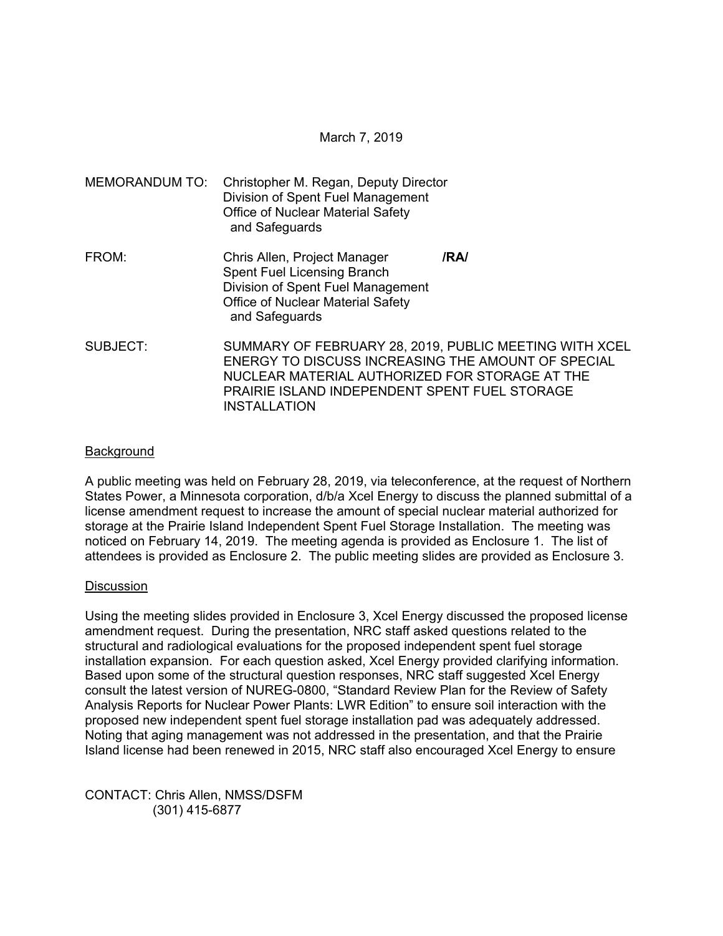| <b>MEMORANDUM TO:</b> | Christopher M. Regan, Deputy Director<br>Division of Spent Fuel Management<br><b>Office of Nuclear Material Safety</b><br>and Safeguards                                                                                                      |      |  |  |
|-----------------------|-----------------------------------------------------------------------------------------------------------------------------------------------------------------------------------------------------------------------------------------------|------|--|--|
| FROM:                 | Chris Allen, Project Manager<br><b>Spent Fuel Licensing Branch</b><br>Division of Spent Fuel Management<br><b>Office of Nuclear Material Safety</b><br>and Safeguards                                                                         | /RA/ |  |  |
| SUBJECT:              | SUMMARY OF FEBRUARY 28, 2019, PUBLIC MEETING WITH XCEL<br>ENERGY TO DISCUSS INCREASING THE AMOUNT OF SPECIAL<br>NUCLEAR MATERIAL AUTHORIZED FOR STORAGE AT THE<br><b>PRAIRIE ISLAND INDEPENDENT SPENT FUEL STORAGE</b><br><b>INSTALLATION</b> |      |  |  |

### Background

A public meeting was held on February 28, 2019, via teleconference, at the request of Northern States Power, a Minnesota corporation, d/b/a Xcel Energy to discuss the planned submittal of a license amendment request to increase the amount of special nuclear material authorized for storage at the Prairie Island Independent Spent Fuel Storage Installation. The meeting was noticed on February 14, 2019. The meeting agenda is provided as Enclosure 1. The list of attendees is provided as Enclosure 2. The public meeting slides are provided as Enclosure 3.

#### **Discussion**

Using the meeting slides provided in Enclosure 3, Xcel Energy discussed the proposed license amendment request. During the presentation, NRC staff asked questions related to the structural and radiological evaluations for the proposed independent spent fuel storage installation expansion. For each question asked, Xcel Energy provided clarifying information. Based upon some of the structural question responses, NRC staff suggested Xcel Energy consult the latest version of NUREG-0800, "Standard Review Plan for the Review of Safety Analysis Reports for Nuclear Power Plants: LWR Edition" to ensure soil interaction with the proposed new independent spent fuel storage installation pad was adequately addressed. Noting that aging management was not addressed in the presentation, and that the Prairie Island license had been renewed in 2015, NRC staff also encouraged Xcel Energy to ensure

CONTACT: Chris Allen, NMSS/DSFM (301) 415-6877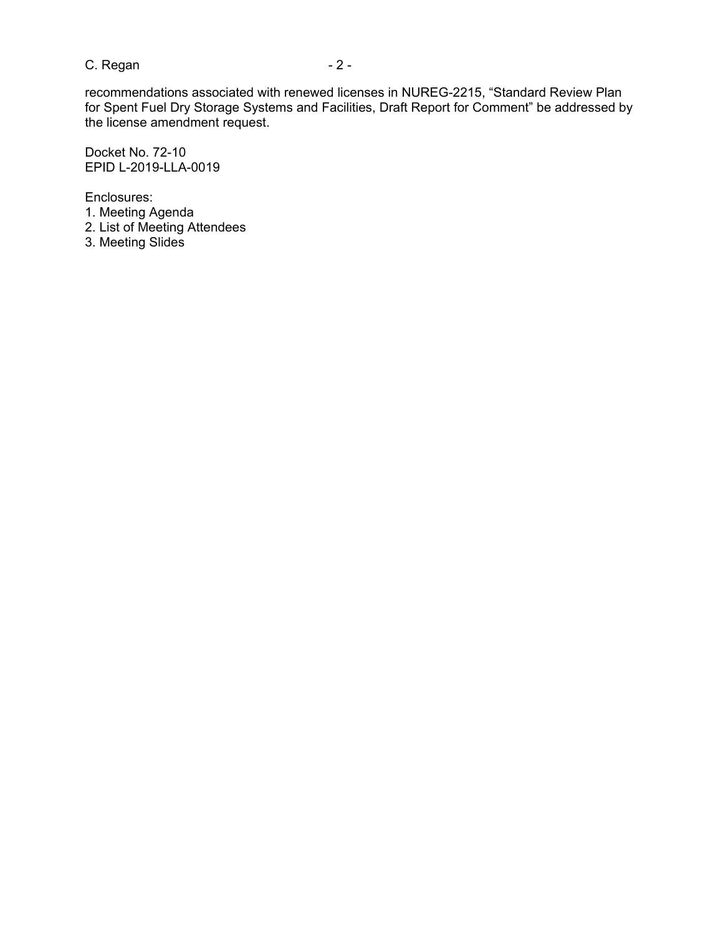$C.$  Regan  $-2$  -

recommendations associated with renewed licenses in NUREG-2215, "Standard Review Plan for Spent Fuel Dry Storage Systems and Facilities, Draft Report for Comment" be addressed by the license amendment request.

Docket No. 72-10 EPID L-2019-LLA-0019

Enclosures: 1. Meeting Agenda 2. List of Meeting Attendees 3. Meeting Slides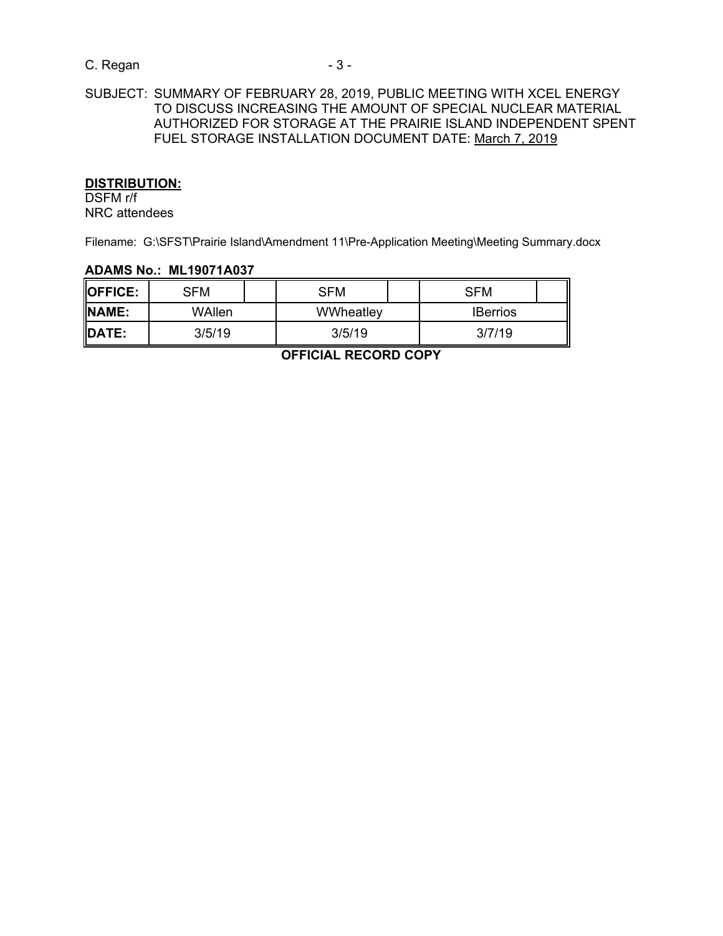# C. Regan - 3 -

# SUBJECT: SUMMARY OF FEBRUARY 28, 2019, PUBLIC MEETING WITH XCEL ENERGY TO DISCUSS INCREASING THE AMOUNT OF SPECIAL NUCLEAR MATERIAL AUTHORIZED FOR STORAGE AT THE PRAIRIE ISLAND INDEPENDENT SPENT FUEL STORAGE INSTALLATION DOCUMENT DATE: March 7, 2019

#### **DISTRIBUTION:**

DSFM r/f NRC attendees

Filename: G:\SFST\Prairie Island\Amendment 11\Pre-Application Meeting\Meeting Summary.docx

#### **ADAMS No.: ML19071A037**

| <b>IOFFICE:</b> | SFM    | SFM       | SFM             |  |
|-----------------|--------|-----------|-----------------|--|
| <b>INAME:</b>   | WAllen | WWheatley | <b>IBerrios</b> |  |
| <b>IDATE:</b>   | 3/5/19 | 3/5/19    | 3/7/19          |  |

**OFFICIAL RECORD COPY**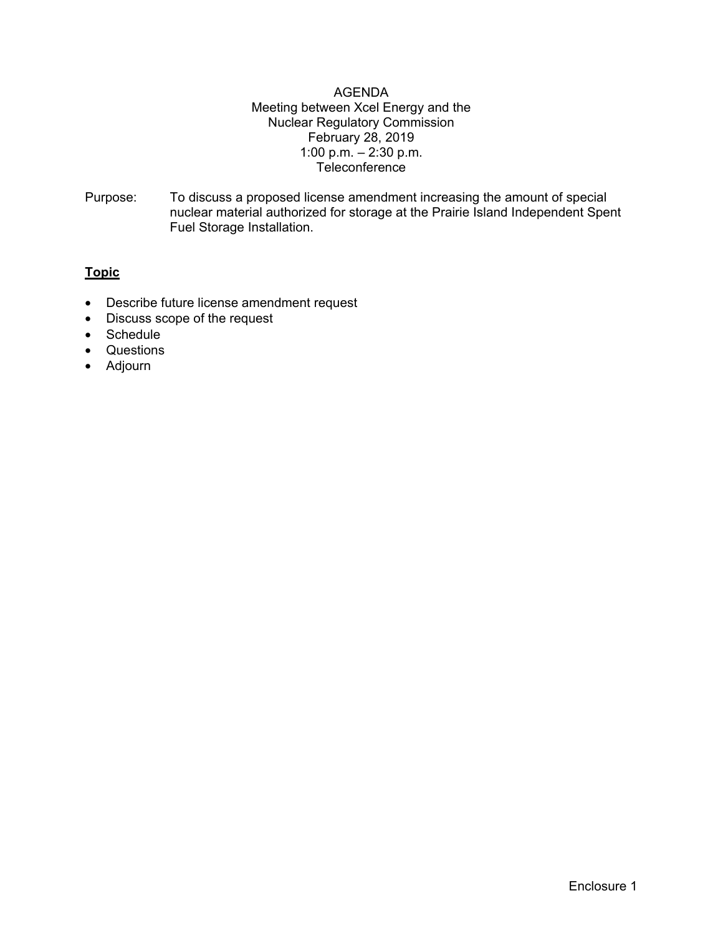### AGENDA Meeting between Xcel Energy and the Nuclear Regulatory Commission February 28, 2019 1:00 p.m. – 2:30 p.m. Teleconference

Purpose: To discuss a proposed license amendment increasing the amount of special nuclear material authorized for storage at the Prairie Island Independent Spent Fuel Storage Installation.

# **Topic**

- Describe future license amendment request
- Discuss scope of the request
- Schedule
- Questions
- Adjourn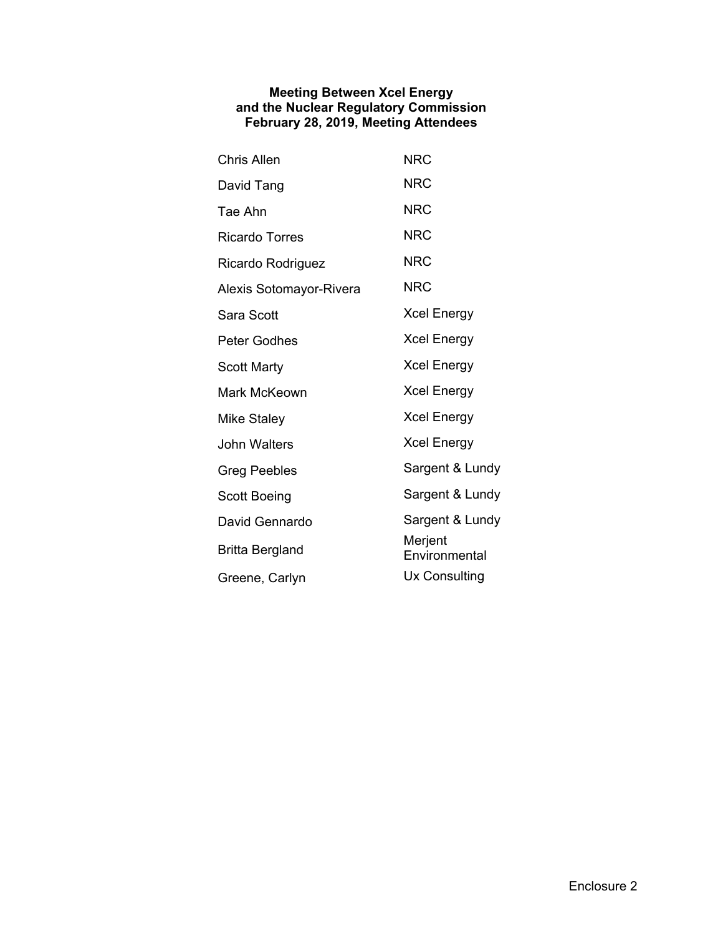#### **Meeting Between Xcel Energy and the Nuclear Regulatory Commission February 28, 2019, Meeting Attendees**

| <b>Chris Allen</b>      | <b>NRC</b>               |  |  |
|-------------------------|--------------------------|--|--|
| David Tang              | <b>NRC</b>               |  |  |
| Tae Ahn                 | <b>NRC</b>               |  |  |
| <b>Ricardo Torres</b>   | <b>NRC</b>               |  |  |
| Ricardo Rodriguez       | <b>NRC</b>               |  |  |
| Alexis Sotomayor-Rivera | <b>NRC</b>               |  |  |
| Sara Scott              | <b>Xcel Energy</b>       |  |  |
| Peter Godhes            | <b>Xcel Energy</b>       |  |  |
| Scott Marty             | <b>Xcel Energy</b>       |  |  |
| Mark McKeown            | <b>Xcel Energy</b>       |  |  |
| Mike Staley             | <b>Xcel Energy</b>       |  |  |
| John Walters            | <b>Xcel Energy</b>       |  |  |
| Greg Peebles            | Sargent & Lundy          |  |  |
| Scott Boeing            | Sargent & Lundy          |  |  |
| David Gennardo          | Sargent & Lundy          |  |  |
| Britta Bergland         | Merjent<br>Environmental |  |  |
| Greene, Carlyn          | Ux Consulting            |  |  |